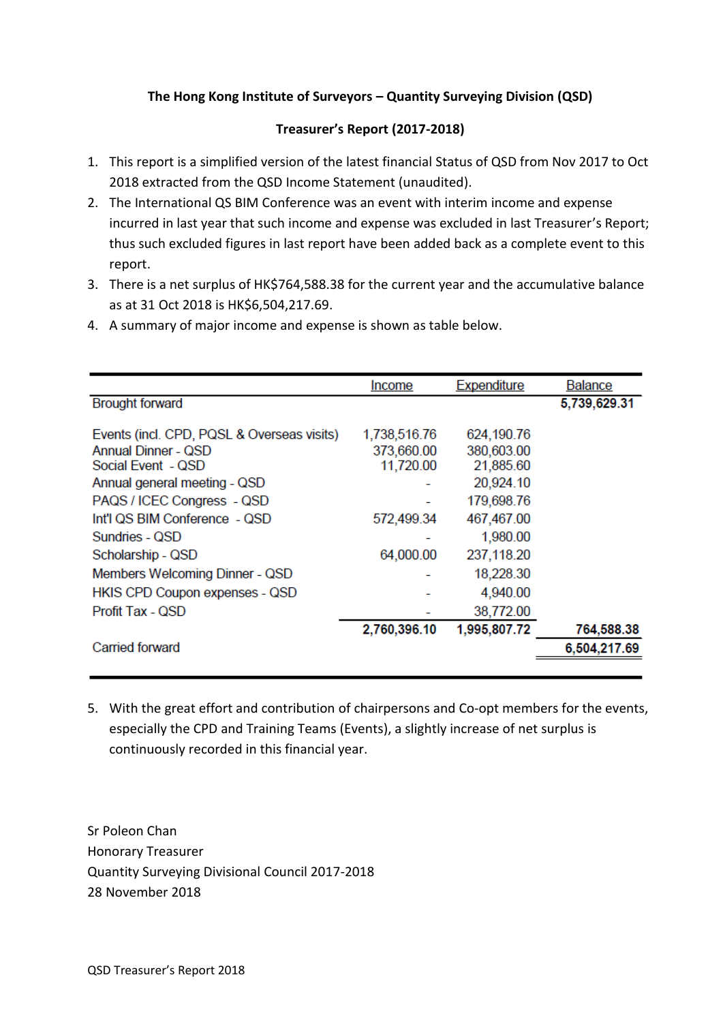## **The Hong Kong Institute of Surveyors – Quantity Surveying Division (QSD)**

## **Treasurer's Report (2017-2018)**

- 1. This report is a simplified version of the latest financial Status of QSD from Nov 2017 to Oct 2018 extracted from the QSD Income Statement (unaudited).
- 2. The International QS BIM Conference was an event with interim income and expense incurred in last year that such income and expense was excluded in last Treasurer's Report; thus such excluded figures in last report have been added back as a complete event to this report.
- 3. There is a net surplus of HK\$764,588.38 for the current year and the accumulative balance as at 31 Oct 2018 is HK\$6,504,217.69.
- 4. A summary of major income and expense is shown as table below.

|                                                                                                                                | Income                                  | <b>Expenditure</b>                                 | <b>Balance</b> |
|--------------------------------------------------------------------------------------------------------------------------------|-----------------------------------------|----------------------------------------------------|----------------|
| <b>Brought forward</b>                                                                                                         |                                         |                                                    | 5,739,629.31   |
| Events (incl. CPD, PQSL & Overseas visits)<br><b>Annual Dinner - QSD</b><br>Social Event - QSD<br>Annual general meeting - QSD | 1,738,516.76<br>373,660.00<br>11,720.00 | 624,190.76<br>380,603.00<br>21,885.60<br>20,924.10 |                |
| PAQS / ICEC Congress - QSD                                                                                                     |                                         | 179,698.76                                         |                |
| Int'l QS BIM Conference - QSD                                                                                                  | 572,499.34                              | 467,467.00                                         |                |
| Sundries - QSD                                                                                                                 |                                         | 1,980.00                                           |                |
| Scholarship - QSD                                                                                                              | 64,000.00                               | 237,118.20                                         |                |
| Members Welcoming Dinner - QSD                                                                                                 |                                         | 18,228.30                                          |                |
| HKIS CPD Coupon expenses - QSD                                                                                                 |                                         | 4,940.00                                           |                |
| Profit Tax - QSD                                                                                                               |                                         | 38,772.00                                          |                |
|                                                                                                                                | 2,760,396.10                            | 1,995,807.72                                       | 764,588.38     |
| Carried forward                                                                                                                |                                         |                                                    | 6,504,217.69   |
|                                                                                                                                |                                         |                                                    |                |

5. With the great effort and contribution of chairpersons and Co-opt members for the events, especially the CPD and Training Teams (Events), a slightly increase of net surplus is continuously recorded in this financial year.

Sr Poleon Chan Honorary Treasurer Quantity Surveying Divisional Council 2017-2018 28 November 2018